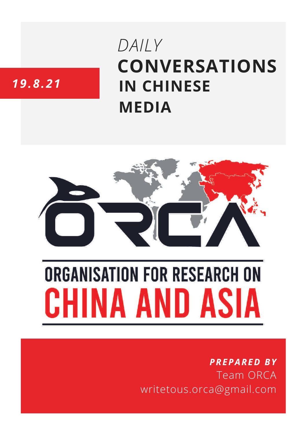# **CONVERSATIONS IN CHINESE MEDIA** *DAILY*

# *19.8.21*



# **ORGANISATION FOR RESEARCH ON** HINA AND ASIA

## *PREPARED BY* Team ORCA writetous.orca@gmail.com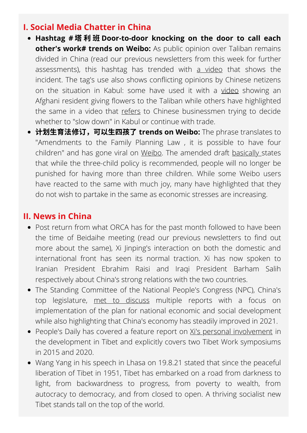#### **I. Social Media Chatter in China**

- **Hashtag [#](https://s.weibo.com/weibo?q=%23%E5%A1%94%E5%88%A9%E7%8F%AD%E6%8C%A8%E5%AE%B6%E6%8C%A8%E6%88%B7%E6%95%B2%E9%97%A8%E5%96%8A%E5%A4%A7%E5%AE%B6%E4%B8%8A%E7%8F%AD%23&from=default)** 塔 利 班 **[Door-to-door](https://s.weibo.com/weibo?q=%23%E5%A1%94%E5%88%A9%E7%8F%AD%E6%8C%A8%E5%AE%B6%E6%8C%A8%E6%88%B7%E6%95%B2%E9%97%A8%E5%96%8A%E5%A4%A7%E5%AE%B6%E4%B8%8A%E7%8F%AD%23&from=default) knocking on the door to call each other's work# trends on Weibo:** As public opinion over Taliban remains divided in China (read our previous newsletters from this week for further assessments), this hashtag has trended with a [video](https://weibo.com/a/hot/f6afe646cbb61e7a_0.html?type=grab) that shows the incident. The tag's use also shows conflicting opinions by Chinese netizens on the situation in Kabul: some have used it with a [video](https://s.weibo.com/weibo?q=%23%E5%A1%94%E5%88%A9%E7%8F%AD%E6%8C%A8%E5%AE%B6%E6%8C%A8%E6%88%B7%E6%95%B2%E9%97%A8%E5%96%8A%E5%A4%A7%E5%AE%B6%E4%B8%8A%E7%8F%AD%23&from=default) showing an Afghani resident giving flowers to the Taliban while others have highlighted the same in a video that [refers](https://weibo.com/1644119190/Kulpu9ADD?type=comment) to Chinese businessmen trying to decide whether to "slow down" in Kabul or continue with trade.
- 计划生育法修订,可以生四孩了 trends on Weibo: The phrase translates to "Amendments to the Family Planning Law , it is possible to have four children" and has gone viral on [Weibo.](https://weibo.com/1796445350/Ku9H8jehW?type=comment#_rnd1629502125955) The amended draft [basically](https://www.rfa.org/mandarin/yataibaodao/huanjing/ql1-08192021052133.html) states that while the three-child policy is recommended, people will no longer be punished for having more than three children. While some Weibo users have reacted to the same with much joy, many have highlighted that they do not wish to partake in the same as economic stresses are increasing.

### **II. News in China**

- Post return from what ORCA has for the past month followed to have been the time of Beidaihe meeting (read our previous newsletters to find out more about the same), Xi Jinping's interaction on both the domestic and international front has seen its normal traction. Xi has now spoken to Iranian President Ebrahim Raisi and Iraqi President Barham Salih respectively about China's strong relations with the two countries.
- The Standing Committee of the National People's Congress (NPC), China's top legislature, met to [discuss](http://www.xinhuanet.com/english/2021-08/19/c_1310135131.htm) multiple reports with a focus on implementation of the plan for national economic and social development while also highlighting that China's economy has steadily improved in 2021.
- People's Daily has covered a feature report on Xi's personal [involvement](http://paper.people.com.cn/rmrb/html/2021-08/19/nw.D110000renmrb_20210819_1-01.htm) in the development in Tibet and explicitly covers two Tibet Work symposiums in 2015 and 2020.
- Wang Yang in his speech in Lhasa on 19.8.21 stated that since the peaceful liberation of Tibet in 1951, Tibet has embarked on a road from darkness to light, from backwardness to progress, from poverty to wealth, from autocracy to democracy, and from closed to open. A thriving socialist new Tibet stands tall on the top of the world.